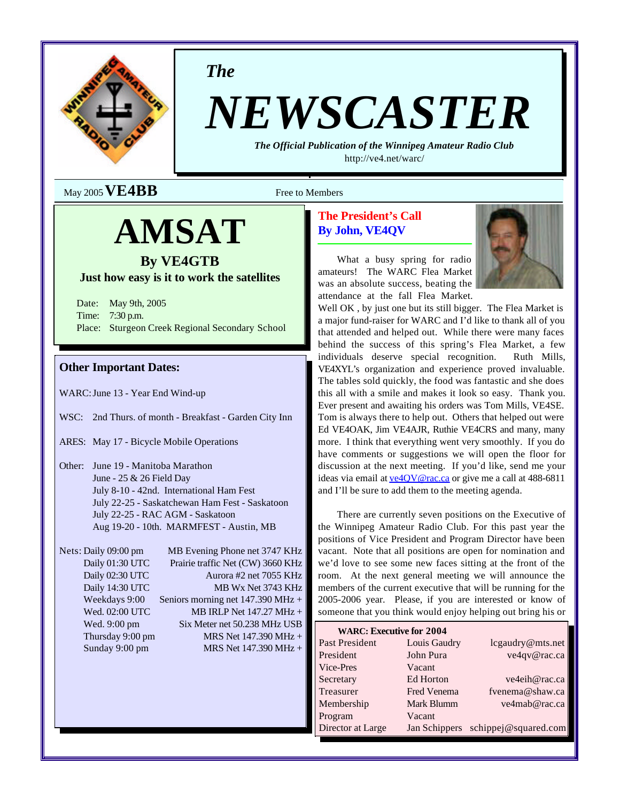

*The*

# *NEWSCASTER*

*The Official Publication of the Winnipeg Amateur Radio Club* http://ve4.net/warc/

 $M$ ay 2005  **Free to Members** 

# **AMSAT**

# **By VE4GTB**

# **Just how easy is it to work the satellites**

Date: May 9th, 2005 Time: 7:30 p.m. Place: Sturgeon Creek Regional Secondary School

# **Other Important Dates:**

WARC:June 13 - Year End Wind-up

- WSC: 2nd Thurs. of month Breakfast Garden City Inn
- ARES: May 17 Bicycle Mobile Operations
- Other: June 19 Manitoba Marathon June - 25 & 26 Field Day July 8-10 - 42nd. International Ham Fest July 22-25 - Saskatchewan Ham Fest - Saskatoon July 22-25 - RAC AGM - Saskatoon Aug 19-20 - 10th. MARMFEST - Austin, MB
- Nets: Daily 09:00 pm MB Evening Phone net 3747 KHz Daily 01:30 UTC Prairie traffic Net (CW) 3660 KHz Daily 02:30 UTC Aurora #2 net 7055 KHz Daily 14:30 UTC MB Wx Net 3743 KHz Weekdays 9:00 Seniors morning net 147.390 MHz + Wed. 02:00 UTC MB IRLP Net 147.27 MHz + Wed. 9:00 pm Six Meter net 50.238 MHz USB Thursday 9:00 pm  $MRS$  Net 147.390 MHz + Sunday 9:00 pm MRS Net 147.390 MHz +

# **The President's Call By John, VE4QV**



What a busy spring for radio amateurs! The WARC Flea Market was an absolute success, beating the attendance at the fall Flea Market.

Well OK, by just one but its still bigger. The Flea Market is a major fund-raiser for WARC and I'd like to thank all of you that attended and helped out. While there were many faces behind the success of this spring's Flea Market, a few individuals deserve special recognition. Ruth Mills, VE4XYL's organization and experience proved invaluable. The tables sold quickly, the food was fantastic and she does this all with a smile and makes it look so easy. Thank you. Ever present and awaiting his orders was Tom Mills, VE4SE. Tom is always there to help out. Others that helped out were Ed VE4OAK, Jim VE4AJR, Ruthie VE4CRS and many, many more. I think that everything went very smoothly. If you do have comments or suggestions we will open the floor for discussion at the next meeting. If you'd like, send me your ideas via email at  $ve40V@rac.ca$  or give me a call at 488-6811</u> and I'll be sure to add them to the meeting agenda.

There are currently seven positions on the Executive of the Winnipeg Amateur Radio Club. For this past year the positions of Vice President and Program Director have been vacant. Note that all positions are open for nomination and we'd love to see some new faces sitting at the front of the room. At the next general meeting we will announce the members of the current executive that will be running for the 2005-2006 year. Please, if you are interested or know of someone that you think would enjoy helping out bring his or

| <b>WARC: Executive for 2004</b> |              |                                    |  |  |  |
|---------------------------------|--------------|------------------------------------|--|--|--|
| Past President                  | Louis Gaudry | lcgaudry@mts.net                   |  |  |  |
| President                       | John Pura    | ve4qv@rac.ca                       |  |  |  |
| Vice-Pres                       | Vacant       |                                    |  |  |  |
| Secretary                       | Ed Horton    | ve4eih@rac.ca                      |  |  |  |
| Treasurer                       | Fred Venema  | fvenema@shaw.ca                    |  |  |  |
| Membership                      | Mark Blumm   | ve4mab@rac.ca                      |  |  |  |
| Program                         | Vacant       |                                    |  |  |  |
| Director at Large               |              | Jan Schippers schippej@squared.com |  |  |  |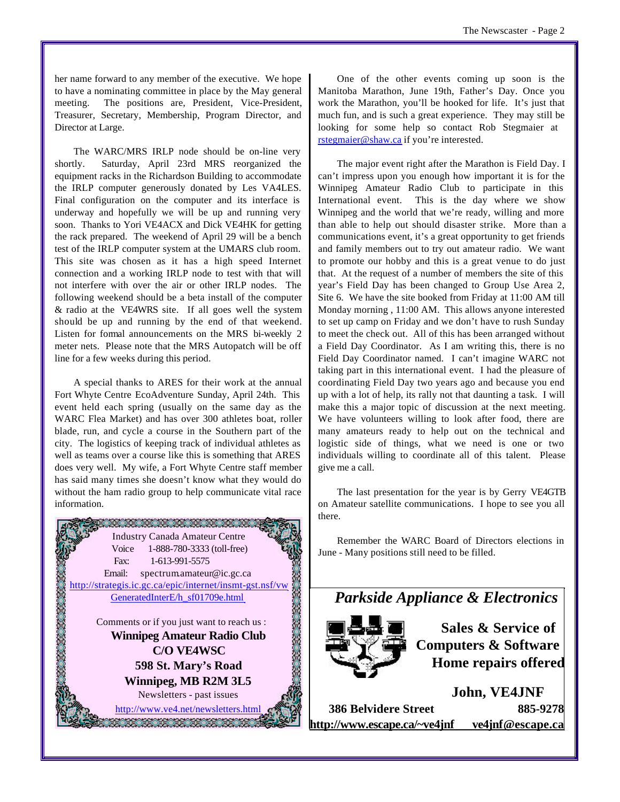her name forward to any member of the executive. We hope to have a nominating committee in place by the May general meeting. The positions are, President, Vice-President, Treasurer, Secretary, Membership, Program Director, and Director at Large.

The WARC/MRS IRLP node should be on-line very shortly. Saturday, April 23rd MRS reorganized the equipment racks in the Richardson Building to accommodate the IRLP computer generously donated by Les VA4LES. Final configuration on the computer and its interface is underway and hopefully we will be up and running very soon. Thanks to Yori VE4ACX and Dick VE4HK for getting the rack prepared. The weekend of April 29 will be a bench test of the IRLP computer system at the UMARS club room. This site was chosen as it has a high speed Internet connection and a working IRLP node to test with that will not interfere with over the air or other IRLP nodes. The following weekend should be a beta install of the computer & radio at the VE4WRS site. If all goes well the system should be up and running by the end of that weekend. Listen for formal announcements on the MRS bi-weekly 2 meter nets. Please note that the MRS Autopatch will be off line for a few weeks during this period.

A special thanks to ARES for their work at the annual Fort Whyte Centre EcoAdventure Sunday, April 24th. This event held each spring (usually on the same day as the WARC Flea Market) and has over 300 athletes boat, roller blade, run, and cycle a course in the Southern part of the city. The logistics of keeping track of individual athletes as well as teams over a course like this is something that ARES does very well. My wife, a Fort Whyte Centre staff member has said many times she doesn't know what they would do without the ham radio group to help communicate vital race information.



One of the other events coming up soon is the Manitoba Marathon, June 19th, Father's Day. Once you work the Marathon, you'll be hooked for life. It's just that much fun, and is such a great experience. They may still be looking for some help so contact Rob Stegmaier at rstegmaier@shaw.ca if you're interested.

The major event right after the Marathon is Field Day. I can't impress upon you enough how important it is for the Winnipeg Amateur Radio Club to participate in this International event. This is the day where we show Winnipeg and the world that we're ready, willing and more than able to help out should disaster strike. More than a communications event, it's a great opportunity to get friends and family members out to try out amateur radio. We want to promote our hobby and this is a great venue to do just that. At the request of a number of members the site of this year's Field Day has been changed to Group Use Area 2, Site 6. We have the site booked from Friday at 11:00 AM till Monday morning , 11:00 AM. This allows anyone interested to set up camp on Friday and we don't have to rush Sunday to meet the check out. All of this has been arranged without a Field Day Coordinator. As I am writing this, there is no Field Day Coordinator named. I can't imagine WARC not taking part in this international event. I had the pleasure of coordinating Field Day two years ago and because you end up with a lot of help, its rally not that daunting a task. I will make this a major topic of discussion at the next meeting. We have volunteers willing to look after food, there are many amateurs ready to help out on the technical and logistic side of things, what we need is one or two individuals willing to coordinate all of this talent. Please give me a call.

The last presentation for the year is by Gerry VE4GTB on Amateur satellite communications. I hope to see you all there.

Remember the WARC Board of Directors elections in June - Many positions still need to be filled.



**Sales & Service of Computers & Software Home repairs offered**

**John, VE4JNF 386 Belvidere Street 885-9278 http://www.escape.ca/~ve4jnf ve4jnf@escape.ca**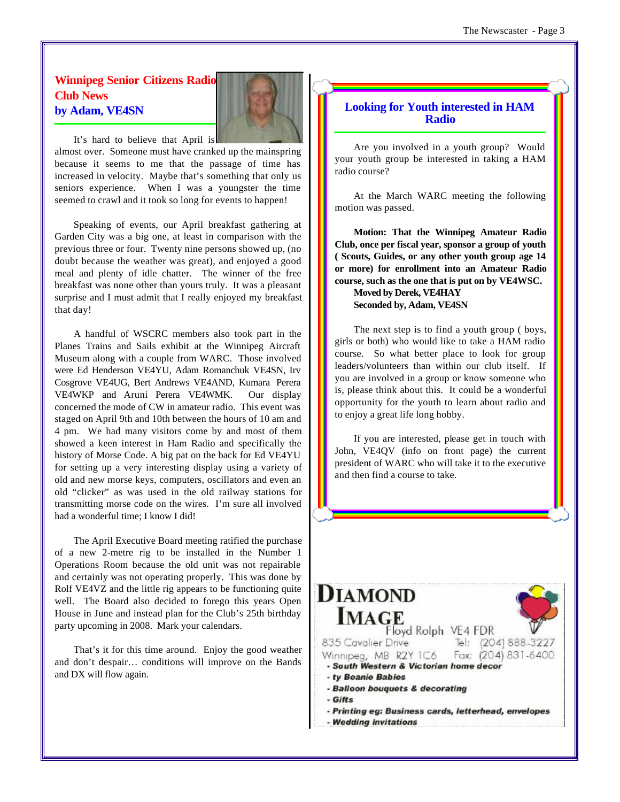# **Winnipeg Senior Citizens Radio Club News by Adam, VE4SN**



It's hard to believe that April is

almost over. Someone must have cranked up the mainspring because it seems to me that the passage of time has increased in velocity. Maybe that's something that only us seniors experience. When I was a youngster the time seemed to crawl and it took so long for events to happen!

Speaking of events, our April breakfast gathering at Garden City was a big one, at least in comparison with the previous three or four. Twenty nine persons showed up, (no doubt because the weather was great), and enjoyed a good meal and plenty of idle chatter. The winner of the free breakfast was none other than yours truly. It was a pleasant surprise and I must admit that I really enjoyed my breakfast that day!

A handful of WSCRC members also took part in the Planes Trains and Sails exhibit at the Winnipeg Aircraft Museum along with a couple from WARC. Those involved were Ed Henderson VE4YU, Adam Romanchuk VE4SN, Irv Cosgrove VE4UG, Bert Andrews VE4AND, Kumara Perera VE4WKP and Aruni Perera VE4WMK. Our display concerned the mode of CW in amateur radio. This event was staged on April 9th and 10th between the hours of 10 am and 4 pm. We had many visitors come by and most of them showed a keen interest in Ham Radio and specifically the history of Morse Code. A big pat on the back for Ed VE4YU for setting up a very interesting display using a variety of old and new morse keys, computers, oscillators and even an old "clicker" as was used in the old railway stations for transmitting morse code on the wires. I'm sure all involved had a wonderful time; I know I did!

The April Executive Board meeting ratified the purchase of a new 2-metre rig to be installed in the Number 1 Operations Room because the old unit was not repairable and certainly was not operating properly. This was done by Rolf VE4VZ and the little rig appears to be functioning quite well. The Board also decided to forego this years Open House in June and instead plan for the Club's 25th birthday party upcoming in 2008. Mark your calendars.

That's it for this time around. Enjoy the good weather and don't despair… conditions will improve on the Bands and DX will flow again.

# **Looking for Youth interested in HAM Radio**

Are you involved in a youth group? Would your youth group be interested in taking a HAM radio course?

At the March WARC meeting the following motion was passed.

**Motion: That the Winnipeg Amateur Radio Club, once per fiscal year, sponsor a group of youth ( Scouts, Guides, or any other youth group age 14 or more) for enrollment into an Amateur Radio course, such as the one that is put on by VE4WSC.** 

**Moved by Derek, VE4HAY Seconded by, Adam, VE4SN**

The next step is to find a youth group ( boys, girls or both) who would like to take a HAM radio course. So what better place to look for group leaders/volunteers than within our club itself. If you are involved in a group or know someone who is, please think about this. It could be a wonderful opportunity for the youth to learn about radio and to enjoy a great life long hobby.

If you are interested, please get in touch with John, VE4QV (info on front page) the current president of WARC who will take it to the executive and then find a course to take.

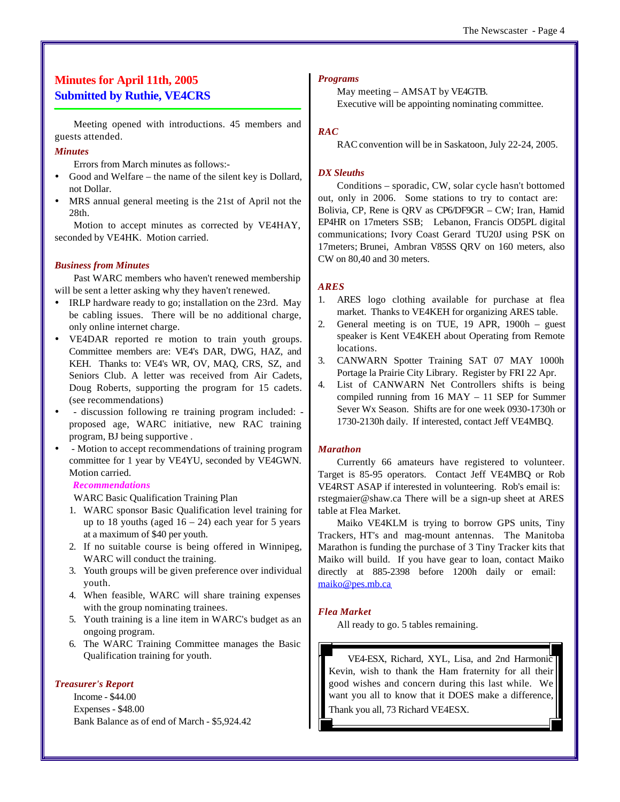#### The Newscaster - Page 4

# **Minutes for April 11th, 2005 Submitted by Ruthie, VE4CRS**

Meeting opened with introductions. 45 members and guests attended.

#### *Minutes*

Errors from March minutes as follows:-

- Good and Welfare the name of the silent key is Dollard, not Dollar.
- ü MRS annual general meeting is the 21st of April not the 28th.

Motion to accept minutes as corrected by VE4HAY, seconded by VE4HK. Motion carried.

#### *Business from Minutes*

Past WARC members who haven't renewed membership will be sent a letter asking why they haven't renewed.

- ü IRLP hardware ready to go; installation on the 23rd. May be cabling issues. There will be no additional charge, only online internet charge.
- VE4DAR reported re motion to train youth groups. Committee members are: VE4's DAR, DWG, HAZ, and KEH. Thanks to: VE4's WR, OV, MAQ, CRS, SZ, and Seniors Club. A letter was received from Air Cadets, Doug Roberts, supporting the program for 15 cadets. (see recommendations)
- discussion following re training program included: proposed age, WARC initiative, new RAC training program, BJ being supportive .
- ü Motion to accept recommendations of training program committee for 1 year by VE4YU, seconded by VE4GWN. Motion carried.

#### *Recommendations*

WARC Basic Qualification Training Plan

- 1. WARC sponsor Basic Qualification level training for up to 18 youths (aged  $16 - 24$ ) each year for 5 years at a maximum of \$40 per youth.
- 2. If no suitable course is being offered in Winnipeg, WARC will conduct the training.
- 3. Youth groups will be given preference over individual youth.
- 4. When feasible, WARC will share training expenses with the group nominating trainees.
- 5. Youth training is a line item in WARC's budget as an ongoing program.
- 6. The WARC Training Committee manages the Basic Qualification training for youth.

#### *Treasurer's Report*

Income - \$44.00 Expenses - \$48.00 Bank Balance as of end of March - \$5,924.42

#### *Programs*

May meeting – AMSAT by VE4GTB. Executive will be appointing nominating committee.

#### *RAC*

RAC convention will be in Saskatoon, July 22-24, 2005.

#### *DX Sleuths*

Conditions – sporadic, CW, solar cycle hasn't bottomed out, only in 2006. Some stations to try to contact are: Bolivia, CP, Rene is QRV as CP6/DF9GR – CW; Iran, Hamid EP4HR on 17meters SSB; Lebanon, Francis OD5PL digital communications; Ivory Coast Gerard TU20J using PSK on 17meters; Brunei, Ambran V85SS QRV on 160 meters, also CW on 80,40 and 30 meters.

#### *ARES*

- 1. ARES logo clothing available for purchase at flea market. Thanks to VE4KEH for organizing ARES table.
- 2. General meeting is on TUE, 19 APR, 1900h guest speaker is Kent VE4KEH about Operating from Remote locations.
- 3. CANWARN Spotter Training SAT 07 MAY 1000h Portage la Prairie City Library. Register by FRI 22 Apr.
- 4. List of CANWARN Net Controllers shifts is being compiled running from 16 MAY – 11 SEP for Summer Sever Wx Season. Shifts are for one week 0930-1730h or 1730-2130h daily. If interested, contact Jeff VE4MBQ.

#### *Marathon*

Currently 66 amateurs have registered to volunteer. Target is 85-95 operators. Contact Jeff VE4MBQ or Rob VE4RST ASAP if interested in volunteering. Rob's email is: rstegmaier@shaw.ca There will be a sign-up sheet at ARES table at Flea Market.

Maiko VE4KLM is trying to borrow GPS units, Tiny Trackers, HT's and mag-mount antennas. The Manitoba Marathon is funding the purchase of 3 Tiny Tracker kits that Maiko will build. If you have gear to loan, contact Maiko directly at 885-2398 before 1200h daily or email: maiko@pes.mb.ca

#### *Flea Market*

All ready to go. 5 tables remaining.

VE4-ESX, Richard, XYL, Lisa, and 2nd Harmonic Kevin, wish to thank the Ham fraternity for all their good wishes and concern during this last while. We want you all to know that it DOES make a difference, Thank you all, 73 Richard VE4ESX.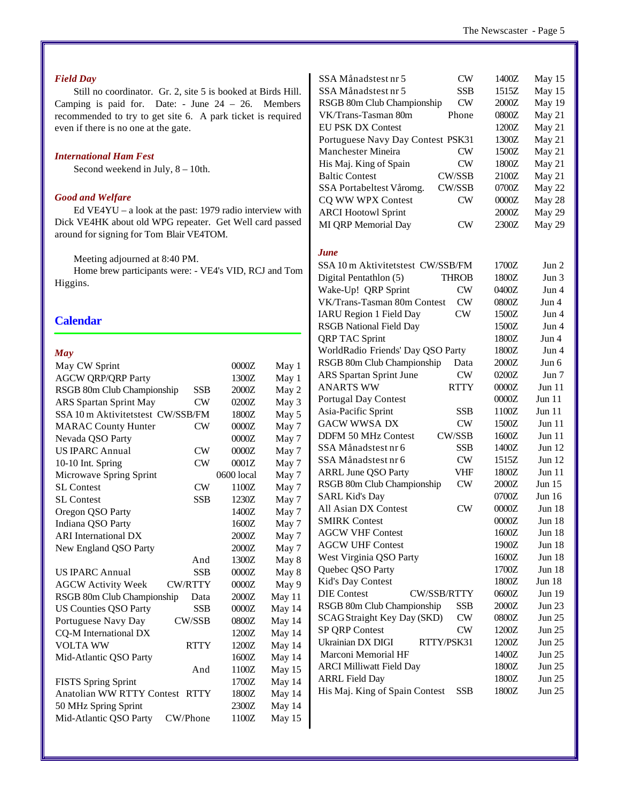# *Field Day*

Still no coordinator. Gr. 2, site 5 is booked at Birds Hill. Camping is paid for. Date: - June  $24 - 26$ . Members recommended to try to get site 6. A park ticket is required even if there is no one at the gate.

#### *International Ham Fest*

Second weekend in July, 8 – 10th.

#### *Good and Welfare*

Ed VE4YU – a look at the past: 1979 radio interview with Dick VE4HK about old WPG repeater. Get Well card passed around for signing for Tom Blair VE4TOM.

Meeting adjourned at 8:40 PM.

Home brew participants were: - VE4's VID, RCJ and Tom Higgins.

#### **Calendar**

#### *May*

| May CW Sprint                     |                | 0000Z      | May 1  |
|-----------------------------------|----------------|------------|--------|
| <b>AGCW ORP/ORP Party</b>         |                | 1300Z      | May 1  |
| RSGB 80m Club Championship        | <b>SSB</b>     | 2000Z      | May 2  |
| <b>ARS</b> Spartan Sprint May     | CW             | 0200Z      | May 3  |
| SSA 10 m Aktivitetstest CW/SSB/FM |                | 1800Z      | May 5  |
| <b>MARAC County Hunter</b>        | CW             | 0000Z      | May 7  |
| Nevada QSO Party                  |                | 0000Z      | May 7  |
| <b>US IPARC Annual</b>            | $\rm CW$       | 0000Z      | May 7  |
| 10-10 Int. Spring                 | CW             | 0001Z      | May 7  |
| Microwave Spring Sprint           |                | 0600 local | May 7  |
| <b>SL</b> Contest                 | CW             | 1100Z      | May 7  |
| <b>SL</b> Contest                 | SSB            | 1230Z      | May 7  |
| Oregon QSO Party                  |                | 1400Z      | May 7  |
| Indiana QSO Party                 |                | 1600Z      | May 7  |
| <b>ARI</b> International DX       |                | 2000Z      | May 7  |
| New England QSO Party             |                | 2000Z      | May 7  |
|                                   | And            | 1300Z      | May 8  |
| <b>US IPARC Annual</b>            | <b>SSB</b>     | 0000Z      | May 8  |
| <b>AGCW Activity Week</b>         | <b>CW/RTTY</b> | 0000Z      | May 9  |
| RSGB 80m Club Championship        | Data           | 2000Z      | May 11 |
| <b>US Counties QSO Party</b>      | <b>SSB</b>     | 0000Z      | May 14 |
| Portuguese Navy Day               | <b>CW/SSB</b>  | 0800Z      | May 14 |
| CQ-M International DX             |                | 1200Z      | May 14 |
| <b>VOLTA WW</b>                   | <b>RTTY</b>    | 1200Z      | May 14 |
| Mid-Atlantic QSO Party            |                | 1600Z      | May 14 |
|                                   | And            | 1100Z      | May 15 |
| <b>FISTS Spring Sprint</b>        |                | 1700Z      | May 14 |
| <b>Anatolian WW RTTY Contest</b>  | <b>RTTY</b>    | 1800Z      | May 14 |
| 50 MHz Spring Sprint              |                | 2300Z      | May 14 |
| Mid-Atlantic QSO Party            | CW/Phone       | 1100Z      | May 15 |

| SSA Månadstest nr 5               | <b>CW</b>    | 1400Z | May 15        |
|-----------------------------------|--------------|-------|---------------|
| SSA Månadstest nr 5               | <b>SSB</b>   | 1515Z | May 15        |
| RSGB 80m Club Championship        | CW           | 2000Z | May 19        |
| VK/Trans-Tasman 80m               | Phone        | 0800Z | May 21        |
| <b>EU PSK DX Contest</b>          |              | 1200Z | May 21        |
| Portuguese Navy Day Contest PSK31 |              | 1300Z | May 21        |
| Manchester Mineira                | CW           | 1500Z | May 21        |
| His Maj. King of Spain            | CW           | 1800Z | May 21        |
| <b>Baltic Contest</b>             | CW/SSB       | 2100Z | May 21        |
| SSA Portabeltest Våromg.          | CW/SSB       | 0700Z | May 22        |
| CQ WW WPX Contest                 | <b>CW</b>    | 0000Z | May 28        |
| <b>ARCI Hootowl Sprint</b>        |              | 2000Z | May 29        |
| MI QRP Memorial Day               | CW           | 2300Z | May 29        |
| June                              |              |       |               |
| SSA 10 m Aktivitetstest CW/SSB/FM |              | 1700Z | Jun 2         |
| Digital Pentathlon (5)            | <b>THROB</b> | 1800Z | Jun $3$       |
| Wake-Up! QRP Sprint               | CW           | 0400Z | Jun 4         |
| VK/Trans-Tasman 80m Contest       | CW           | 0800Z | Jun 4         |
| <b>IARU</b> Region 1 Field Day    | CW           | 1500Z | Jun 4         |
| <b>RSGB</b> National Field Day    |              | 1500Z | Jun 4         |
| <b>QRP TAC Sprint</b>             |              | 1800Z | Jun 4         |
| WorldRadio Friends' Day QSO Party |              | 1800Z | Jun 4         |
| RSGB 80m Club Championship        | Data         | 2000Z | Jun 6         |
| <b>ARS</b> Spartan Sprint June    | CW           | 0200Z | Jun 7         |
| <b>ANARTS WW</b>                  | <b>RTTY</b>  | 0000Z | Jun $11$      |
| <b>Portugal Day Contest</b>       |              | 0000Z | Jun 11        |
| Asia-Pacific Sprint               | <b>SSB</b>   | 1100Z | Jun 11        |
| <b>GACW WWSA DX</b>               | <b>CW</b>    | 1500Z | Jun $11$      |
| <b>DDFM 50 MHz Contest</b>        | CW/SSB       | 1600Z | Jun $11$      |
| SSA Månadstest nr 6               | <b>SSB</b>   | 1400Z | Jun 12        |
| SSA Månadstest nr 6               | <b>CW</b>    | 1515Z | Jun $12$      |
| <b>ARRL June QSO Party</b>        | VHF          | 1800Z | Jun $11$      |
| RSGB 80m Club Championship        | CW           | 2000Z | Jun $15$      |
| <b>SARL Kid's Day</b>             |              | 0700Z | Jun 16        |
| All Asian DX Contest              | CW           | 0000Z | <b>Jun 18</b> |
| <b>SMIRK Contest</b>              |              | 0000Z | Jun 18        |
| <b>AGCW VHF Contest</b>           |              | 1600Z | <b>Jun 18</b> |
| <b>AGCW UHF Contest</b>           |              | 1900Z | <b>Jun 18</b> |
| West Virginia QSO Party           |              | 1600Z | <b>Jun 18</b> |
| Quebec QSO Party                  |              | 1700Z | Jun 18        |
| Kid's Day Contest                 |              | 1800Z | Jun 18        |
| <b>DIE Contest</b>                | CW/SSB/RTTY  | 0600Z | Jun 19        |
| RSGB 80m Club Championship        | SSB          | 2000Z | Jun 23        |
| <b>SCAGStraight Key Day (SKD)</b> | CW           | 0800Z | Jun 25        |
| SP QRP Contest                    | <b>CW</b>    | 1200Z | Jun 25        |
| Ukrainian DX DIGI                 | RTTY/PSK31   | 1200Z | Jun 25        |
| Marconi Memorial HF               |              | 1400Z | Jun 25        |
| <b>ARCI Milliwatt Field Day</b>   |              | 1800Z | Jun 25        |
| <b>ARRL Field Day</b>             |              | 1800Z | Jun 25        |
| His Maj. King of Spain Contest    | <b>SSB</b>   | 1800Z | Jun 25        |
|                                   |              |       |               |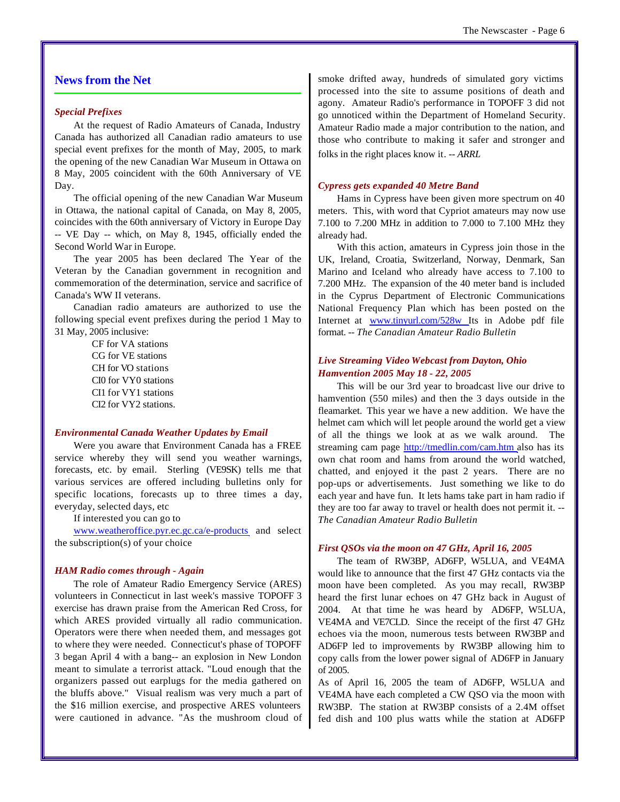# **News from the Net**

#### *Special Prefixes*

At the request of Radio Amateurs of Canada, Industry Canada has authorized all Canadian radio amateurs to use special event prefixes for the month of May, 2005, to mark the opening of the new Canadian War Museum in Ottawa on 8 May, 2005 coincident with the 60th Anniversary of VE Day.

The official opening of the new Canadian War Museum in Ottawa, the national capital of Canada, on May 8, 2005, coincides with the 60th anniversary of Victory in Europe Day -- VE Day -- which, on May 8, 1945, officially ended the Second World War in Europe.

The year 2005 has been declared The Year of the Veteran by the Canadian government in recognition and commemoration of the determination, service and sacrifice of Canada's WW II veterans.

Canadian radio amateurs are authorized to use the following special event prefixes during the period 1 May to 31 May, 2005 inclusive:

> CF for VA stations CG for VE stations CH for VO stations CI0 for VY0 stations CI1 for VY1 stations CI2 for VY2 stations.

#### *Environmental Canada Weather Updates by Email*

Were you aware that Environment Canada has a FREE service whereby they will send you weather warnings, forecasts, etc. by email. Sterling (VE9SK) tells me that various services are offered including bulletins only for specific locations, forecasts up to three times a day, everyday, selected days, etc

If interested you can go to

www.weatheroffice.pyr.ec.gc.ca/e-products and select the subscription(s) of your choice

#### *HAM Radio comes through - Again*

The role of Amateur Radio Emergency Service (ARES) volunteers in Connecticut in last week's massive TOPOFF 3 exercise has drawn praise from the American Red Cross, for which ARES provided virtually all radio communication. Operators were there when needed them, and messages got to where they were needed. Connecticut's phase of TOPOFF 3 began April 4 with a bang-- an explosion in New London meant to simulate a terrorist attack. "Loud enough that the organizers passed out earplugs for the media gathered on the bluffs above." Visual realism was very much a part of the \$16 million exercise, and prospective ARES volunteers were cautioned in advance. "As the mushroom cloud of smoke drifted away, hundreds of simulated gory victims processed into the site to assume positions of death and agony. Amateur Radio's performance in TOPOFF 3 did not go unnoticed within the Department of Homeland Security. Amateur Radio made a major contribution to the nation, and those who contribute to making it safer and stronger and folks in the right places know it*. -- ARRL*

#### *Cypress gets expanded 40 Metre Band*

Hams in Cypress have been given more spectrum on 40 meters. This, with word that Cypriot amateurs may now use 7.100 to 7.200 MHz in addition to 7.000 to 7.100 MHz they already had.

With this action, amateurs in Cypress join those in the UK, Ireland, Croatia, Switzerland, Norway, Denmark, San Marino and Iceland who already have access to 7.100 to 7.200 MHz. The expansion of the 40 meter band is included in the Cyprus Department of Electronic Communications National Frequency Plan which has been posted on the Internet at www.tinyurl.com/528w Its in Adobe pdf file format. -- *The Canadian Amateur Radio Bulletin*

### *Live Streaming Video Webcast from Dayton, Ohio Hamvention 2005 May 18 - 22, 2005*

This will be our 3rd year to broadcast live our drive to hamvention (550 miles) and then the 3 days outside in the fleamarket. This year we have a new addition. We have the helmet cam which will let people around the world get a view of all the things we look at as we walk around. The streaming cam page http://tmedlin.com/cam.htm also has its own chat room and hams from around the world watched, chatted, and enjoyed it the past 2 years. There are no pop-ups or advertisements. Just something we like to do each year and have fun. It lets hams take part in ham radio if they are too far away to travel or health does not permit it. -- *The Canadian Amateur Radio Bulletin*

#### *First QSOs via the moon on 47 GHz, April 16, 2005*

The team of RW3BP, AD6FP, W5LUA, and VE4MA would like to announce that the first 47 GHz contacts via the moon have been completed. As you may recall, RW3BP heard the first lunar echoes on 47 GHz back in August of 2004. At that time he was heard by AD6FP, W5LUA, VE4MA and VE7CLD. Since the receipt of the first 47 GHz echoes via the moon, numerous tests between RW3BP and AD6FP led to improvements by RW3BP allowing him to copy calls from the lower power signal of AD6FP in January of 2005.

As of April 16, 2005 the team of AD6FP, W5LUA and VE4MA have each completed a CW QSO via the moon with RW3BP. The station at RW3BP consists of a 2.4M offset fed dish and 100 plus watts while the station at AD6FP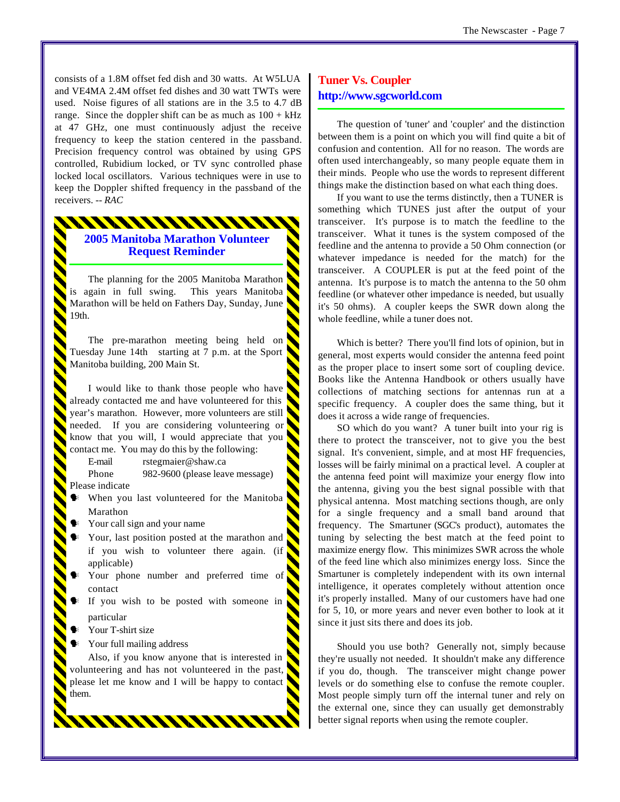consists of a 1.8M offset fed dish and 30 watts. At W5LUA and VE4MA 2.4M offset fed dishes and 30 watt TWTs were used. Noise figures of all stations are in the 3.5 to 4.7 dB range. Since the doppler shift can be as much as  $100 + kHz$ at 47 GHz, one must continuously adjust the receive frequency to keep the station centered in the passband. Precision frequency control was obtained by using GPS controlled, Rubidium locked, or TV sync controlled phase locked local oscillators. Various techniques were in use to keep the Doppler shifted frequency in the passband of the receivers. *-- RAC*

# **2005 Manitoba Marathon Volunteer Request Reminder**

\*\*\*\*\*\*\*\*\*\*\*\*\*\*\*\*\*\*\*\*\*\*\*\*\*\*\*\*\*\*

The planning for the 2005 Manitoba Marathon is again in full swing. This years Manitoba Marathon will be held on Fathers Day, Sunday, June 19th.

The pre-marathon meeting being held on Tuesday June 14th starting at 7 p.m. at the Sport Manitoba building, 200 Main St.

I would like to thank those people who have already contacted me and have volunteered for this year's marathon. However, more volunteers are still needed. If you are considering volunteering or know that you will, I would appreciate that you contact me. You may do this by the following:

E-mail rstegmaier@shaw.ca

Phone 982-9600 (please leave message) Please indicate

- When you last volunteered for the Manitoba Marathon
- Your call sign and your name
- Your, last position posted at the marathon and if you wish to volunteer there again. (if applicable)
- Your phone number and preferred time of contact
- If you wish to be posted with someone in particular
- Your T-shirt size
- Your full mailing address

Also, if you know anyone that is interested in volunteering and has not volunteered in the past, please let me know and I will be happy to contact them.

www.mww

# **Tuner Vs. Coupler http://www.sgcworld.com**

The question of 'tuner' and 'coupler' and the distinction between them is a point on which you will find quite a bit of confusion and contention. All for no reason. The words are often used interchangeably, so many people equate them in their minds. People who use the words to represent different things make the distinction based on what each thing does.

If you want to use the terms distinctly, then a TUNER is something which TUNES just after the output of your transceiver. It's purpose is to match the feedline to the transceiver. What it tunes is the system composed of the feedline and the antenna to provide a 50 Ohm connection (or whatever impedance is needed for the match) for the transceiver. A COUPLER is put at the feed point of the antenna. It's purpose is to match the antenna to the 50 ohm feedline (or whatever other impedance is needed, but usually it's 50 ohms). A coupler keeps the SWR down along the whole feedline, while a tuner does not.

Which is better? There you'll find lots of opinion, but in general, most experts would consider the antenna feed point as the proper place to insert some sort of coupling device. Books like the Antenna Handbook or others usually have collections of matching sections for antennas run at a specific frequency. A coupler does the same thing, but it does it across a wide range of frequencies.

SO which do you want? A tuner built into your rig is there to protect the transceiver, not to give you the best signal. It's convenient, simple, and at most HF frequencies, losses will be fairly minimal on a practical level. A coupler at the antenna feed point will maximize your energy flow into the antenna, giving you the best signal possible with that physical antenna. Most matching sections though, are only for a single frequency and a small band around that frequency. The Smartuner (SGC's product), automates the tuning by selecting the best match at the feed point to maximize energy flow. This minimizes SWR across the whole of the feed line which also minimizes energy loss. Since the Smartuner is completely independent with its own internal intelligence, it operates completely without attention once it's properly installed. Many of our customers have had one for 5, 10, or more years and never even bother to look at it since it just sits there and does its job.

Should you use both? Generally not, simply because they're usually not needed. It shouldn't make any difference if you do, though. The transceiver might change power levels or do something else to confuse the remote coupler. Most people simply turn off the internal tuner and rely on the external one, since they can usually get demonstrably better signal reports when using the remote coupler.